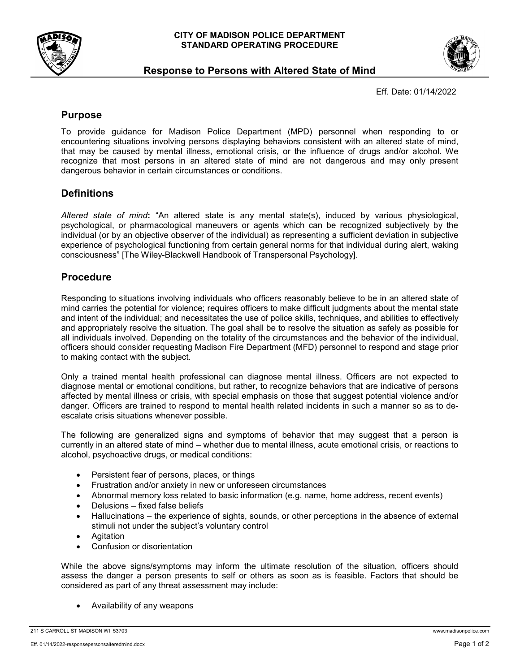



## **Response to Persons with Altered State of Mind**

Eff. Date: 01/14/2022

### **Purpose**

To provide guidance for Madison Police Department (MPD) personnel when responding to or encountering situations involving persons displaying behaviors consistent with an altered state of mind, that may be caused by mental illness, emotional crisis, or the influence of drugs and/or alcohol. We recognize that most persons in an altered state of mind are not dangerous and may only present dangerous behavior in certain circumstances or conditions.

# **Definitions**

*Altered state of mind***:** "An altered state is any mental state(s), induced by various physiological, psychological, or pharmacological maneuvers or agents which can be recognized subjectively by the individual (or by an objective observer of the individual) as representing a sufficient deviation in subjective experience of psychological functioning from certain general norms for that individual during alert, waking consciousness" [The Wiley-Blackwell Handbook of Transpersonal Psychology].

## **Procedure**

Responding to situations involving individuals who officers reasonably believe to be in an altered state of mind carries the potential for violence; requires officers to make difficult judgments about the mental state and intent of the individual; and necessitates the use of police skills, techniques, and abilities to effectively and appropriately resolve the situation. The goal shall be to resolve the situation as safely as possible for all individuals involved. Depending on the totality of the circumstances and the behavior of the individual, officers should consider requesting Madison Fire Department (MFD) personnel to respond and stage prior to making contact with the subject.

Only a trained mental health professional can diagnose mental illness. Officers are not expected to diagnose mental or emotional conditions, but rather, to recognize behaviors that are indicative of persons affected by mental illness or crisis, with special emphasis on those that suggest potential violence and/or danger. Officers are trained to respond to mental health related incidents in such a manner so as to deescalate crisis situations whenever possible.

The following are generalized signs and symptoms of behavior that may suggest that a person is currently in an altered state of mind – whether due to mental illness, acute emotional crisis, or reactions to alcohol, psychoactive drugs, or medical conditions:

- Persistent fear of persons, places, or things
- Frustration and/or anxiety in new or unforeseen circumstances
- Abnormal memory loss related to basic information (e.g. name, home address, recent events)
- Delusions fixed false beliefs
- Hallucinations the experience of sights, sounds, or other perceptions in the absence of external stimuli not under the subject's voluntary control
- Agitation
- Confusion or disorientation

While the above signs/symptoms may inform the ultimate resolution of the situation, officers should assess the danger a person presents to self or others as soon as is feasible. Factors that should be considered as part of any threat assessment may include:

• Availability of any weapons

#### 211 S CARROLL ST MADISON WI 53703 www.madisonpolice.com